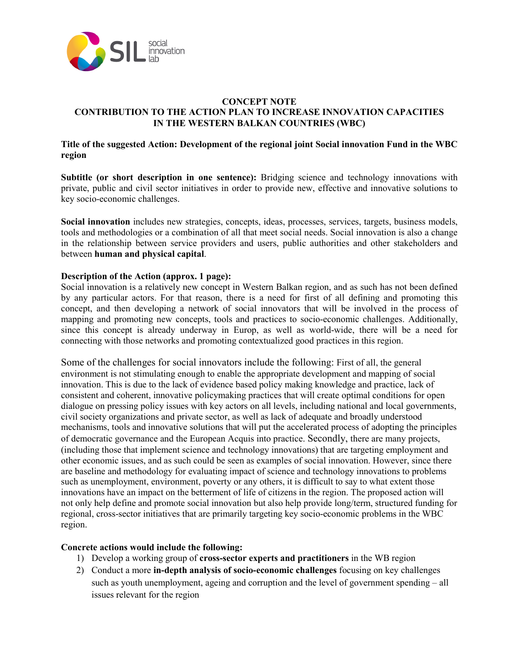

#### **CONCEPT NOTE CONTRIBUTION TO THE ACTION PLAN TO INCREASE INNOVATION CAPACITIES IN THE WESTERN BALKAN COUNTRIES (WBC)**

# **Title of the suggested Action: Development of the regional joint Social innovation Fund in the WBC region**

**Subtitle (or short description in one sentence):** Bridging science and technology innovations with private, public and civil sector initiatives in order to provide new, effective and innovative solutions to key socio-economic challenges.

**Social innovation** includes new strategies, concepts, ideas, processes, services, targets, business models, tools and methodologies or a combination of all that meet social needs. Social innovation is also a change in the relationship between service providers and users, public authorities and other stakeholders and between **human and physical capital**.

## **Description of the Action (approx. 1 page):**

Social innovation is a relatively new concept in Western Balkan region, and as such has not been defined by any particular actors. For that reason, there is a need for first of all defining and promoting this concept, and then developing a network of social innovators that will be involved in the process of mapping and promoting new concepts, tools and practices to socio-economic challenges. Additionally, since this concept is already underway in Europ, as well as world-wide, there will be a need for connecting with those networks and promoting contextualized good practices in this region.

Some of the challenges for social innovators include the following: First of all, the general environment is not stimulating enough to enable the appropriate development and mapping of social innovation. This is due to the lack of evidence based policy making knowledge and practice, lack of consistent and coherent, innovative policymaking practices that will create optimal conditions for open dialogue on pressing policy issues with key actors on all levels, including national and local governments, civil society organizations and private sector, as well as lack of adequate and broadly understood mechanisms, tools and innovative solutions that will put the accelerated process of adopting the principles of democratic governance and the European Acquis into practice. Secondly, there are many projects, (including those that implement science and technology innovations) that are targeting employment and other economic issues, and as such could be seen as examples of social innovation. However, since there are baseline and methodology for evaluating impact of science and technology innovations to problems such as unemployment, environment, poverty or any others, it is difficult to say to what extent those innovations have an impact on the betterment of life of citizens in the region. The proposed action will not only help define and promote social innovation but also help provide long/term, structured funding for regional, cross-sector initiatives that are primarily targeting key socio-economic problems in the WBC region.

## **Concrete actions would include the following:**

- 1) Develop a working group of **cross-sector experts and practitioners** in the WB region
- 2) Conduct a more **in-depth analysis of socio-economic challenges** focusing on key challenges such as youth unemployment, ageing and corruption and the level of government spending – all issues relevant for the region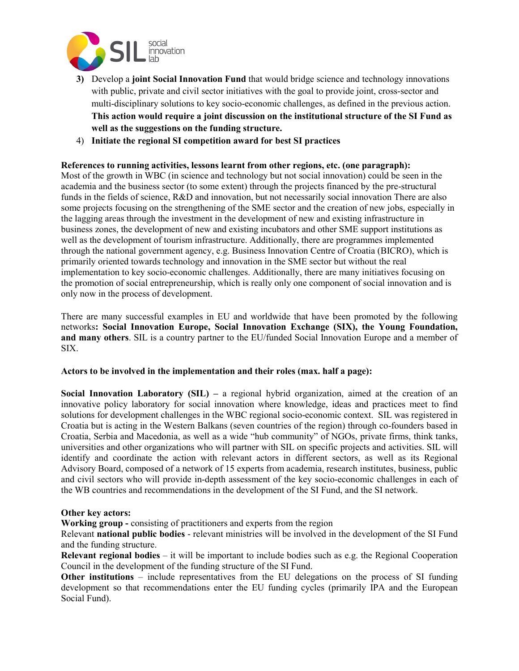

- **3)** Develop a **joint Social Innovation Fund** that would bridge science and technology innovations with public, private and civil sector initiatives with the goal to provide joint, cross-sector and multi-disciplinary solutions to key socio-economic challenges, as defined in the previous action. **This action would require a joint discussion on the institutional structure of the SI Fund as well as the suggestions on the funding structure.**
- 4) **Initiate the regional SI competition award for best SI practices**

# **References to running activities, lessons learnt from other regions, etc. (one paragraph):**

Most of the growth in WBC (in science and technology but not social innovation) could be seen in the academia and the business sector (to some extent) through the projects financed by the pre-structural funds in the fields of science, R&D and innovation, but not necessarily social innovation There are also some projects focusing on the strengthening of the SME sector and the creation of new jobs, especially in the lagging areas through the investment in the development of new and existing infrastructure in business zones, the development of new and existing incubators and other SME support institutions as well as the development of tourism infrastructure. Additionally, there are programmes implemented through the national government agency, e.g. Business Innovation Centre of Croatia (BICRO), which is primarily oriented towards technology and innovation in the SME sector but without the real implementation to key socio-economic challenges. Additionally, there are many initiatives focusing on the promotion of social entrepreneurship, which is really only one component of social innovation and is only now in the process of development.

There are many successful examples in EU and worldwide that have been promoted by the following networks**: Social Innovation Europe, Social Innovation Exchange (SIX), the Young Foundation, and many others**. SIL is a country partner to the EU/funded Social Innovation Europe and a member of SIX.

## **Actors to be involved in the implementation and their roles (max. half a page):**

**Social Innovation Laboratory (SIL)** – a regional hybrid organization, aimed at the creation of an innovative policy laboratory for social innovation where knowledge, ideas and practices meet to find solutions for development challenges in the WBC regional socio-economic context. SIL was registered in Croatia but is acting in the Western Balkans (seven countries of the region) through co-founders based in Croatia, Serbia and Macedonia, as well as a wide "hub community" of NGOs, private firms, think tanks, universities and other organizations who will partner with SIL on specific projects and activities. SIL will identify and coordinate the action with relevant actors in different sectors, as well as its Regional Advisory Board, composed of a network of 15 experts from academia, research institutes, business, public and civil sectors who will provide in-depth assessment of the key socio-economic challenges in each of the WB countries and recommendations in the development of the SI Fund, and the SI network.

#### **Other key actors:**

**Working group -** consisting of practitioners and experts from the region

Relevant **national public bodies** - relevant ministries will be involved in the development of the SI Fund and the funding structure.

**Relevant regional bodies** – it will be important to include bodies such as e.g. the Regional Cooperation Council in the development of the funding structure of the SI Fund.

**Other institutions** – include representatives from the EU delegations on the process of SI funding development so that recommendations enter the EU funding cycles (primarily IPA and the European Social Fund).